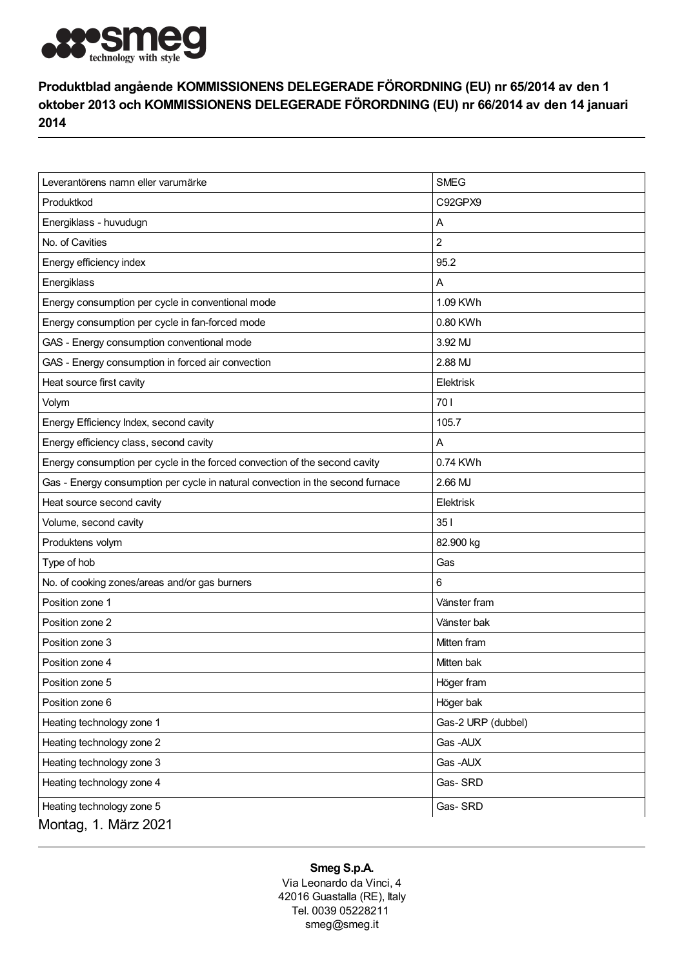

## Produktblad angående KOMMISSIONENS DELEGERADE FÖRORDNING (EU) nr 65/2014 av den 1 oktober 2013 och KOMMISSIONENS DELEGERADE FÖRORDNING (EU) nr 66/2014 av den 14 januari 2014

| Leverantörens namn eller varumärke                                             | <b>SMEG</b>        |
|--------------------------------------------------------------------------------|--------------------|
| Produktkod                                                                     | C92GPX9            |
| Energiklass - huvudugn                                                         | Α                  |
| No. of Cavities                                                                | 2                  |
| Energy efficiency index                                                        | 95.2               |
| Energiklass                                                                    | Α                  |
| Energy consumption per cycle in conventional mode                              | 1.09 KWh           |
| Energy consumption per cycle in fan-forced mode                                | 0.80 KWh           |
| GAS - Energy consumption conventional mode                                     | 3.92 MJ            |
| GAS - Energy consumption in forced air convection                              | 2.88 MJ            |
| Heat source first cavity                                                       | Elektrisk          |
| Volym                                                                          | 701                |
| Energy Efficiency Index, second cavity                                         | 105.7              |
| Energy efficiency class, second cavity                                         | A                  |
| Energy consumption per cycle in the forced convection of the second cavity     | 0.74 KWh           |
| Gas - Energy consumption per cycle in natural convection in the second furnace | 2.66 MJ            |
| Heat source second cavity                                                      | <b>Elektrisk</b>   |
| Volume, second cavity                                                          | 351                |
| Produktens volym                                                               | 82.900 kg          |
| Type of hob                                                                    | Gas                |
| No. of cooking zones/areas and/or gas burners                                  | 6                  |
| Position zone 1                                                                | Vänster fram       |
| Position zone 2                                                                | Vänster bak        |
| Position zone 3                                                                | Mitten fram        |
| Position zone 4                                                                | Mitten bak         |
| Position zone 5                                                                | Höger fram         |
| Position zone 6                                                                | Höger bak          |
| Heating technology zone 1                                                      | Gas-2 URP (dubbel) |
| Heating technology zone 2                                                      | Gas-AUX            |
| Heating technology zone 3                                                      | Gas-AUX            |
| Heating technology zone 4                                                      | Gas-SRD            |
| Heating technology zone 5                                                      | Gas-SRD            |
| Montag, 1. März 2021                                                           |                    |

## Smeg S.p.A.

Via Leonardo da Vinci, 4 42016 Guastalla (RE), Italy Tel. 0039 05228211 smeg@smeg.it